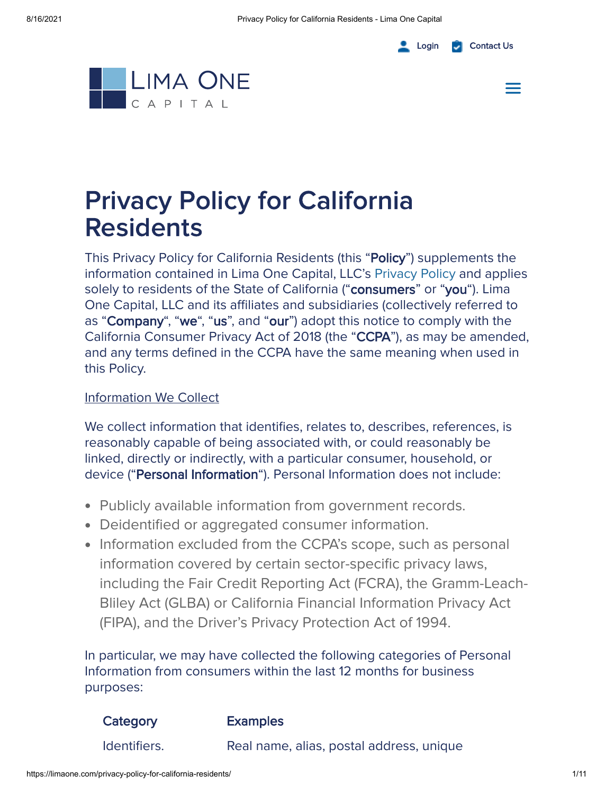#### [Login](https://portal.limaone.com/) **C** [Contact](https://limaone.com/lima_one/contact/) Us





# Privacy Policy for California **Residents**

This Privacy Policy for California Residents (this "Policy") supplements the information contained in Lima One Capital, LLC's [Privacy](https://limaone.com/privacy-policy/) Policy and applies solely to residents of the State of California ("consumers" or "you"). Lima One Capital, LLC and its affiliates and subsidiaries (collectively referred to as "Company", "we", "us", and "our") adopt this notice to comply with the California Consumer Privacy Act of 2018 (the "CCPA"), as may be amended, and any terms defined in the CCPA have the same meaning when used in this Policy.

#### Information We Collect

We collect information that identifies, relates to, describes, references, is reasonably capable of being associated with, or could reasonably be linked, directly or indirectly, with a particular consumer, household, or device ("Personal Information"). Personal Information does not include:

- Publicly available information from government records.
- Deidentified or aggregated consumer information.
- Information excluded from the CCPA's scope, such as personal information covered by certain sector-specific privacy laws, including the Fair Credit Reporting Act (FCRA), the Gramm-Leach-Bliley Act (GLBA) or California Financial Information Privacy Act (FIPA), and the Driver's Privacy Protection Act of 1994.

In particular, we may have collected the following categories of Personal Information from consumers within the last 12 months for business purposes:

| Category     | <b>Examples</b>                          |
|--------------|------------------------------------------|
| Identifiers. | Real name, alias, postal address, unique |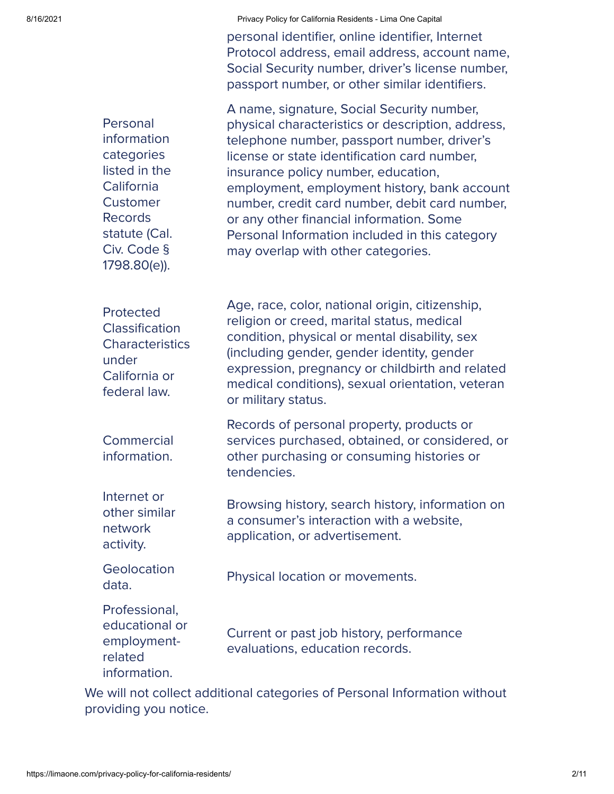8/16/2021 **Privacy Policy for California Residents - Lima One Capital** 

personal identifier, online identifier, Internet Protocol address, email address, account name, Social Security number, driver's license number, passport number, or other similar identifiers.

**Personal** information categories listed in the California **Customer** Records statute (Cal. Civ. Code § 1798.80(e)).

A name, signature, Social Security number, physical characteristics or description, address, telephone number, passport number, driver's license or state identification card number, insurance policy number, education, employment, employment history, bank account number, credit card number, debit card number, or any other financial information. Some Personal Information included in this category may overlap with other categories.

Age, race, color, national origin, citizenship, religion or creed, marital status, medical condition, physical or mental disability, sex (including gender, gender identity, gender

expression, pregnancy or childbirth and related medical conditions), sexual orientation, veteran

services purchased, obtained, or considered, or

Browsing history, search history, information on

Records of personal property, products or

other purchasing or consuming histories or

a consumer's interaction with a website,

Protected **Classification Characteristics** under California or federal law.

**Commercial** information.

Internet or other similar network activity.

**Geolocation** data.

Physical location or movements.

application, or advertisement.

or military status.

tendencies.

Professional, educational or employmentrelated information.

Current or past job history, performance evaluations, education records.

We will not collect additional categories of Personal Information without providing you notice.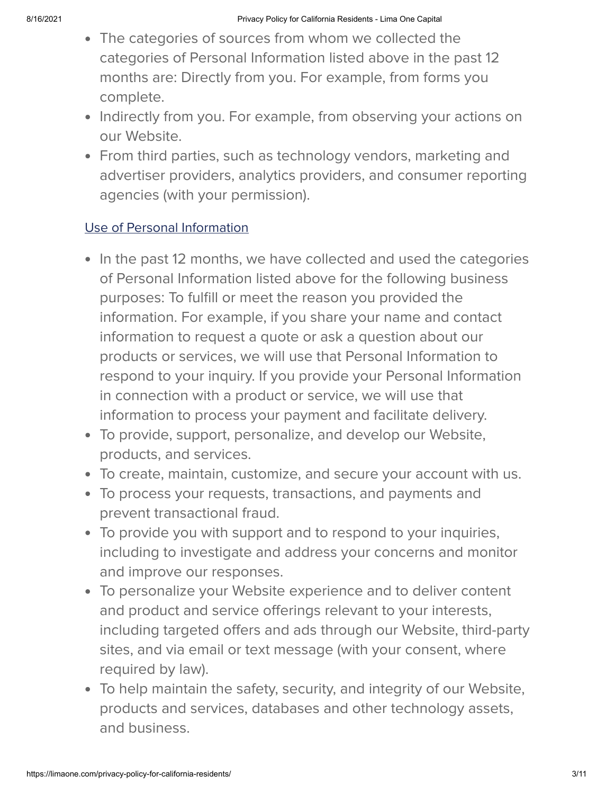- The categories of sources from whom we collected the categories of Personal Information listed above in the past 12 months are: Directly from you. For example, from forms you complete.
- Indirectly from you. For example, from observing your actions on our Website.
- From third parties, such as technology vendors, marketing and advertiser providers, analytics providers, and consumer reporting agencies (with your permission).

## Use of Personal Information

- In the past 12 months, we have collected and used the categories of Personal Information listed above for the following business purposes: To fulfill or meet the reason you provided the information. For example, if you share your name and contact information to request a quote or ask a question about our products or services, we will use that Personal Information to respond to your inquiry. If you provide your Personal Information in connection with a product or service, we will use that information to process your payment and facilitate delivery.
- To provide, support, personalize, and develop our Website, products, and services.
- To create, maintain, customize, and secure your account with us.
- To process your requests, transactions, and payments and prevent transactional fraud.
- To provide you with support and to respond to your inquiries, including to investigate and address your concerns and monitor and improve our responses.
- To personalize your Website experience and to deliver content and product and service offerings relevant to your interests, including targeted offers and ads through our Website, third-party sites, and via email or text message (with your consent, where required by law).
- To help maintain the safety, security, and integrity of our Website, products and services, databases and other technology assets, and business.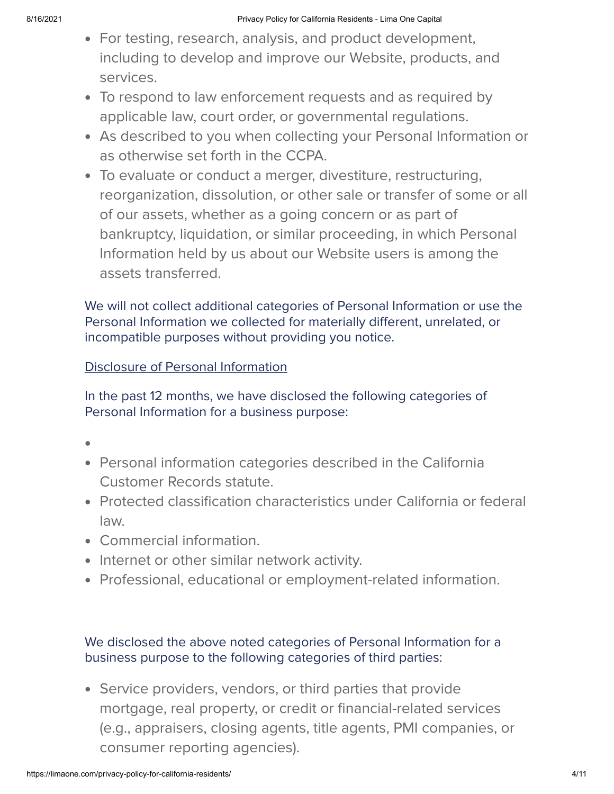- For testing, research, analysis, and product development, including to develop and improve our Website, products, and services.
- To respond to law enforcement requests and as required by applicable law, court order, or governmental regulations.
- As described to you when collecting your Personal Information or as otherwise set forth in the CCPA.
- To evaluate or conduct a merger, divestiture, restructuring, reorganization, dissolution, or other sale or transfer of some or all of our assets, whether as a going concern or as part of bankruptcy, liquidation, or similar proceeding, in which Personal Information held by us about our Website users is among the assets transferred.

We will not collect additional categories of Personal Information or use the Personal Information we collected for materially different, unrelated, or incompatible purposes without providing you notice.

## Disclosure of Personal Information

In the past 12 months, we have disclosed the following categories of Personal Information for a business purpose:

- 
- Personal information categories described in the California Customer Records statute.
- Protected classification characteristics under California or federal law.
- Commercial information.
- Internet or other similar network activity.
- Professional, educational or employment-related information.

## We disclosed the above noted categories of Personal Information for a business purpose to the following categories of third parties:

Service providers, vendors, or third parties that provide mortgage, real property, or credit or financial-related services (e.g., appraisers, closing agents, title agents, PMI companies, or consumer reporting agencies).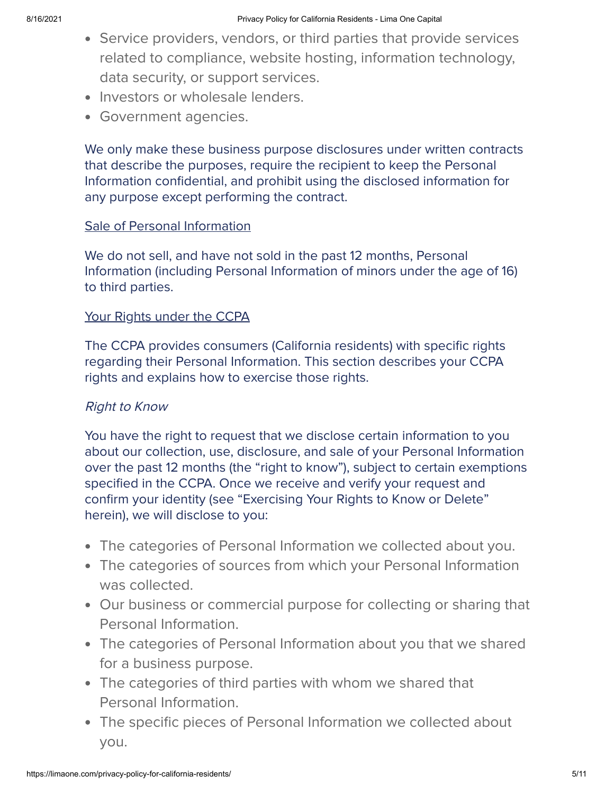- Service providers, vendors, or third parties that provide services related to compliance, website hosting, information technology, data security, or support services.
- Investors or wholesale lenders.
- Government agencies.

We only make these business purpose disclosures under written contracts that describe the purposes, require the recipient to keep the Personal Information confidential, and prohibit using the disclosed information for any purpose except performing the contract.

#### Sale of Personal Information

We do not sell, and have not sold in the past 12 months, Personal Information (including Personal Information of minors under the age of 16) to third parties.

#### Your Rights under the CCPA

The CCPA provides consumers (California residents) with specific rights regarding their Personal Information. This section describes your CCPA rights and explains how to exercise those rights.

## Right to Know

You have the right to request that we disclose certain information to you about our collection, use, disclosure, and sale of your Personal Information over the past 12 months (the "right to know"), subject to certain exemptions specified in the CCPA. Once we receive and verify your request and confirm your identity (see "Exercising Your Rights to Know or Delete" herein), we will disclose to you:

- The categories of Personal Information we collected about you.
- The categories of sources from which your Personal Information was collected.
- Our business or commercial purpose for collecting or sharing that Personal Information.
- The categories of Personal Information about you that we shared for a business purpose.
- The categories of third parties with whom we shared that Personal Information.
- The specific pieces of Personal Information we collected about you.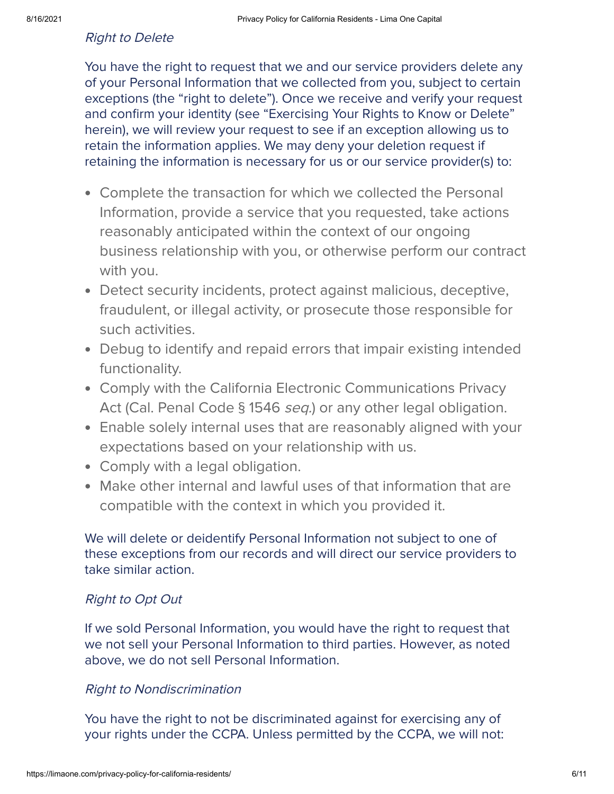#### Right to Delete

You have the right to request that we and our service providers delete any of your Personal Information that we collected from you, subject to certain exceptions (the "right to delete"). Once we receive and verify your request and confirm your identity (see "Exercising Your Rights to Know or Delete" herein), we will review your request to see if an exception allowing us to retain the information applies. We may deny your deletion request if retaining the information is necessary for us or our service provider(s) to:

- Complete the transaction for which we collected the Personal Information, provide a service that you requested, take actions reasonably anticipated within the context of our ongoing business relationship with you, or otherwise perform our contract with you.
- Detect security incidents, protect against malicious, deceptive, fraudulent, or illegal activity, or prosecute those responsible for such activities.
- Debug to identify and repaid errors that impair existing intended functionality.
- Comply with the California Electronic Communications Privacy Act (Cal. Penal Code § 1546 *seq.*) or any other legal obligation.
- Enable solely internal uses that are reasonably aligned with your expectations based on your relationship with us.
- Comply with a legal obligation.
- Make other internal and lawful uses of that information that are compatible with the context in which you provided it.

We will delete or deidentify Personal Information not subject to one of these exceptions from our records and will direct our service providers to take similar action.

#### Right to Opt Out

If we sold Personal Information, you would have the right to request that we not sell your Personal Information to third parties. However, as noted above, we do not sell Personal Information.

#### Right to Nondiscrimination

You have the right to not be discriminated against for exercising any of your rights under the CCPA. Unless permitted by the CCPA, we will not: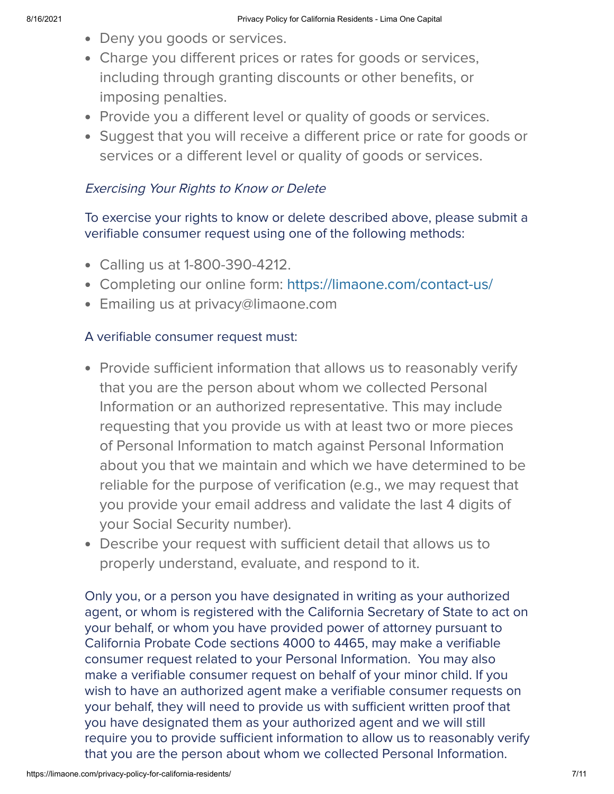- Deny you goods or services.
- Charge you different prices or rates for goods or services, including through granting discounts or other benefits, or imposing penalties.
- Provide you a different level or quality of goods or services.
- Suggest that you will receive a different price or rate for goods or services or a different level or quality of goods or services.

## Exercising Your Rights to Know or Delete

To exercise your rights to know or delete described above, please submit a verifiable consumer request using one of the following methods:

- Calling us at 1-800-390-4212.
- Completing our online form: <https://limaone.com/contact-us/>
- Emailing us at privacy@limaone.com

## A verifiable consumer request must:

- Provide sufficient information that allows us to reasonably verify that you are the person about whom we collected Personal Information or an authorized representative. This may include requesting that you provide us with at least two or more pieces of Personal Information to match against Personal Information about you that we maintain and which we have determined to be reliable for the purpose of verification (e.g., we may request that you provide your email address and validate the last 4 digits of your Social Security number).
- Describe your request with sufficient detail that allows us to properly understand, evaluate, and respond to it.

Only you, or a person you have designated in writing as your authorized agent, or whom is registered with the California Secretary of State to act on your behalf, or whom you have provided power of attorney pursuant to California Probate Code sections 4000 to 4465, may make a verifiable consumer request related to your Personal Information. You may also make a verifiable consumer request on behalf of your minor child. If you wish to have an authorized agent make a verifiable consumer requests on your behalf, they will need to provide us with sufficient written proof that you have designated them as your authorized agent and we will still require you to provide sufficient information to allow us to reasonably verify that you are the person about whom we collected Personal Information.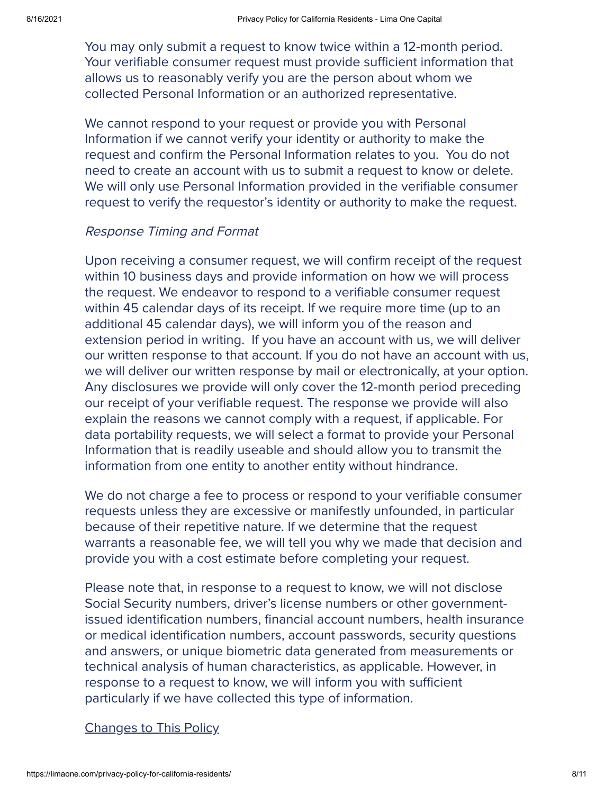You may only submit a request to know twice within a 12-month period. Your verifiable consumer request must provide sufficient information that allows us to reasonably verify you are the person about whom we collected Personal Information or an authorized representative.

We cannot respond to your request or provide you with Personal Information if we cannot verify your identity or authority to make the request and confirm the Personal Information relates to you. You do not need to create an account with us to submit a request to know or delete. We will only use Personal Information provided in the verifiable consumer request to verify the requestor's identity or authority to make the request.

#### Response Timing and Format

Upon receiving a consumer request, we will confirm receipt of the request within 10 business days and provide information on how we will process the request. We endeavor to respond to a verifiable consumer request within 45 calendar days of its receipt. If we require more time (up to an additional 45 calendar days), we will inform you of the reason and extension period in writing. If you have an account with us, we will deliver our written response to that account. If you do not have an account with us, we will deliver our written response by mail or electronically, at your option. Any disclosures we provide will only cover the 12-month period preceding our receipt of your verifiable request. The response we provide will also explain the reasons we cannot comply with a request, if applicable. For data portability requests, we will select a format to provide your Personal Information that is readily useable and should allow you to transmit the information from one entity to another entity without hindrance.

We do not charge a fee to process or respond to your verifiable consumer requests unless they are excessive or manifestly unfounded, in particular because of their repetitive nature. If we determine that the request warrants a reasonable fee, we will tell you why we made that decision and provide you with a cost estimate before completing your request.

Please note that, in response to a request to know, we will not disclose Social Security numbers, driver's license numbers or other governmentissued identification numbers, financial account numbers, health insurance or medical identification numbers, account passwords, security questions and answers, or unique biometric data generated from measurements or technical analysis of human characteristics, as applicable. However, in response to a request to know, we will inform you with sufficient particularly if we have collected this type of information.

#### Changes to This Policy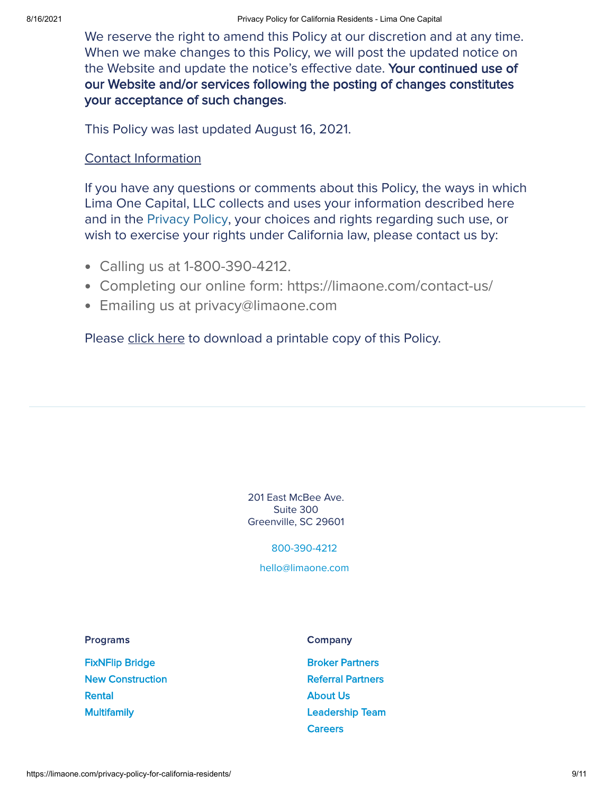We reserve the right to amend this Policy at our discretion and at any time. When we make changes to this Policy, we will post the updated notice on the Website and update the notice's effective date. Your continued use of our Website and/or services following the posting of changes constitutes your acceptance of such changes.

This Policy was last updated August 16, 2021.

#### Contact Information

If you have any questions or comments about this Policy, the ways in which Lima One Capital, LLC collects and uses your information described here and in the [Privacy](https://limaone.com/privacy-policy/) Policy, your choices and rights regarding such use, or wish to exercise your rights under California law, please contact us by:

- Calling us at 1-800-390-4212.
- Completing our online form: https://limaone.com/contact-us/
- Emailing us at privacy@limaone.com

Please click here to download a printable copy of this Policy.

201 East McBee Ave. Suite 300 Greenville, SC 29601

[800-390-4212](tel:8003904212)

[hello@limaone.com](mailto:hello@limaone.com)

Programs

[FixNFlip](https://limaone.com/hard-money-fix-n-flip/) Bridge New [Construction](https://limaone.com/new-construction-loans/) [Rental](https://limaone.com/rental/) **[Multifamily](https://limaone.com/multifamily/)** 

**Company** 

Broker [Partners](https://limaone.com/brokers/) Referral [Partners](https://limaone.com/referral-program/) [About](https://limaone.com/the-company/) Us [Leadership](https://limaone.com/leadership-team/) Team **[Careers](https://limaone.com/employment/)**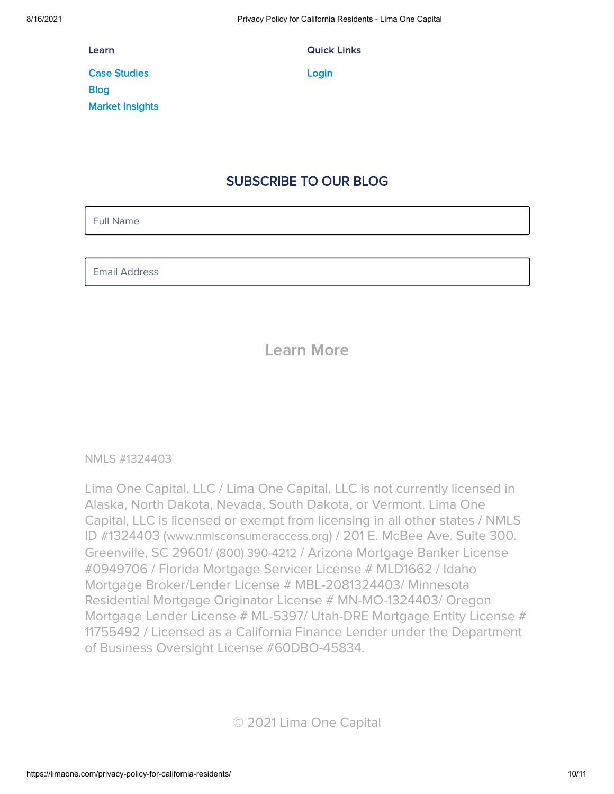Learn

Case [Studies](https://limaone.com/case-studies/) **[Blog](https://limaone.com/blog/)** Market [Insights](https://limaone.com/market-insights/) Quick Links

**[Login](https://portal.limaone.com/)** 

## SUBSCRIBE TO OUR BLOG

Full Name

Email Address

## Learn More

#### NMLS [#1324403](https://www.nmlsconsumeraccess.org/EntityDetails.aspx/COMPANY/1324403)

Lima One Capital, LLC / Lima One Capital, LLC is not currently licensed in Alaska, North Dakota, Nevada, South Dakota, or Vermont. Lima One Capital, LLC is licensed or exempt from licensing in all other states / NMLS ID #1324403 ([www.nmlsconsumeraccess.org](http://www.nmlsconsumeraccess.org/)) / 201 E. McBee Ave. Suite 300. Greenville, SC 29601/ (800) [390-4212](tel:8003904212) / Arizona Mortgage Banker License #0949706 / Florida Mortgage Servicer License # MLD1662 / Idaho Mortgage Broker/Lender License # MBL-2081324403/ Minnesota Residential Mortgage Originator License # MN-MO-1324403/ Oregon Mortgage Lender License # ML-5397/ Utah-DRE Mortgage Entity License # 11755492 / Licensed as a California Finance Lender under the Department of Business Oversight License #60DBO-45834.

© 2021 Lima One Capital